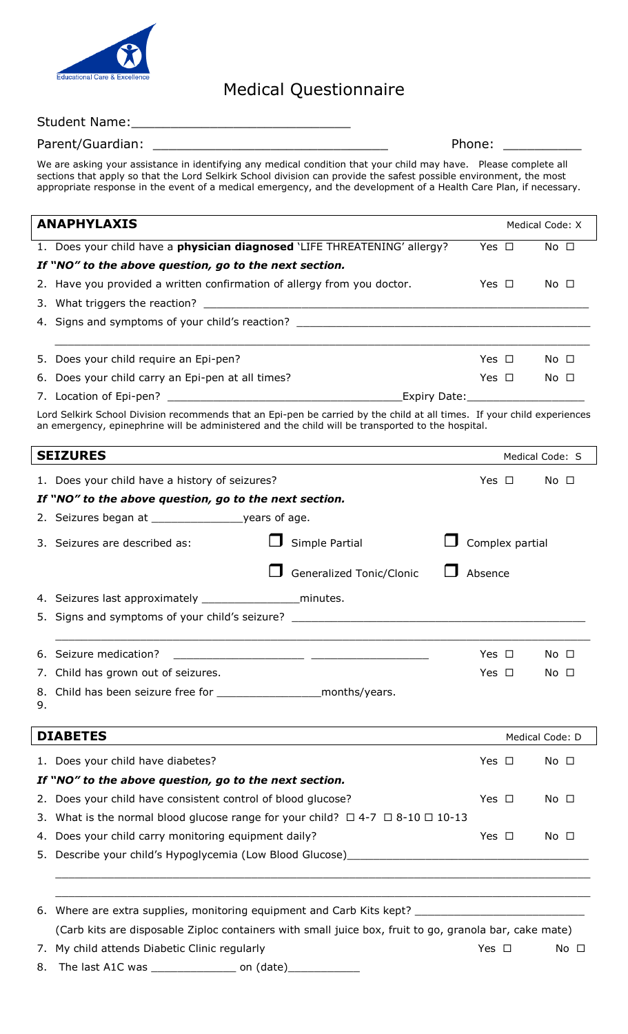

## Medical Questionnaire

## Student Name:

| Parent/Guardian: | Phone: |  |
|------------------|--------|--|
|                  |        |  |

We are asking your assistance in identifying any medical condition that your child may have. Please complete all sections that apply so that the Lord Selkirk School division can provide the safest possible environment, the most appropriate response in the event of a medical emergency, and the development of a Health Care Plan, if necessary.

| <b>ANAPHYLAXIS</b> |                                                                                  |            | Medical Code: X |             |
|--------------------|----------------------------------------------------------------------------------|------------|-----------------|-------------|
|                    | 1. Does your child have a <b>physician diagnosed</b> 'LIFE THREATENING' allergy? | Yes $\Box$ |                 | $No$ $\Box$ |
|                    | If "NO" to the above question, go to the next section.                           |            |                 |             |
|                    | 2. Have you provided a written confirmation of allergy from you doctor.          | Yes $\Box$ |                 | No □        |
|                    |                                                                                  |            |                 |             |
|                    | 4. Signs and symptoms of your child's reaction?                                  |            |                 |             |
|                    |                                                                                  |            |                 |             |
|                    | 5. Does your child require an Epi-pen?                                           | Yes $\Box$ |                 | $No$ $\Box$ |
|                    | 6. Does your child carry an Epi-pen at all times?                                | Yes $\Box$ |                 | No □        |
|                    | 7. Location of Epi-pen?<br>Expiry Date:                                          |            |                 |             |

Lord Selkirk School Division recommends that an Epi-pen be carried by the child at all times. If your child experiences an emergency, epinephrine will be administered and the child will be transported to the hospital.

|    | <b>SEIZURES</b>                                                                                        |                          |                 | Medical Code: S |
|----|--------------------------------------------------------------------------------------------------------|--------------------------|-----------------|-----------------|
|    | 1. Does your child have a history of seizures?                                                         |                          | Yes $\square$   | $No$ $\Box$     |
|    | If "NO" to the above question, go to the next section.                                                 |                          |                 |                 |
|    |                                                                                                        |                          |                 |                 |
|    | 3. Seizures are described as:                                                                          | Simple Partial           | Complex partial |                 |
|    |                                                                                                        | Generalized Tonic/Clonic | Absence         |                 |
|    |                                                                                                        |                          |                 |                 |
|    | 5. Signs and symptoms of your child's seizure? _________________________________                       |                          |                 |                 |
|    |                                                                                                        |                          |                 |                 |
|    | 6. Seizure medication?                                                                                 |                          | Yes $\square$   | $No$ $\Box$     |
|    | 7. Child has grown out of seizures.                                                                    |                          | Yes $\Box$      | No <sub>1</sub> |
|    | 8. Child has been seizure free for __________________________months/years.                             |                          |                 |                 |
| 9. |                                                                                                        |                          |                 |                 |
|    | <b>DIABETES</b>                                                                                        |                          |                 | Medical Code: D |
|    | 1. Does your child have diabetes?                                                                      |                          | Yes $\Box$      | $No$ $\square$  |
|    | If "NO" to the above question, go to the next section.                                                 |                          |                 |                 |
|    | 2. Does your child have consistent control of blood glucose?                                           |                          | Yes $\Box$      | $No$ $\square$  |
|    | 3. What is the normal blood glucose range for your child? $\Box$ 4-7 $\Box$ 8-10 $\Box$ 10-13          |                          |                 |                 |
|    | 4. Does your child carry monitoring equipment daily?                                                   |                          | Yes $\Box$      | $No$ $\Box$     |
|    |                                                                                                        |                          |                 |                 |
|    |                                                                                                        |                          |                 |                 |
|    |                                                                                                        |                          |                 |                 |
|    | 6. Where are extra supplies, monitoring equipment and Carb Kits kept? ______________________________   |                          |                 |                 |
|    | (Carb kits are disposable Ziploc containers with small juice box, fruit to go, granola bar, cake mate) |                          |                 |                 |
|    | 7. My child attends Diabetic Clinic regularly                                                          |                          | Yes $\square$   | $No$ $\square$  |

8. The last A1C was \_\_\_\_\_\_\_\_\_\_\_\_\_\_\_\_\_\_\_ on (date)\_